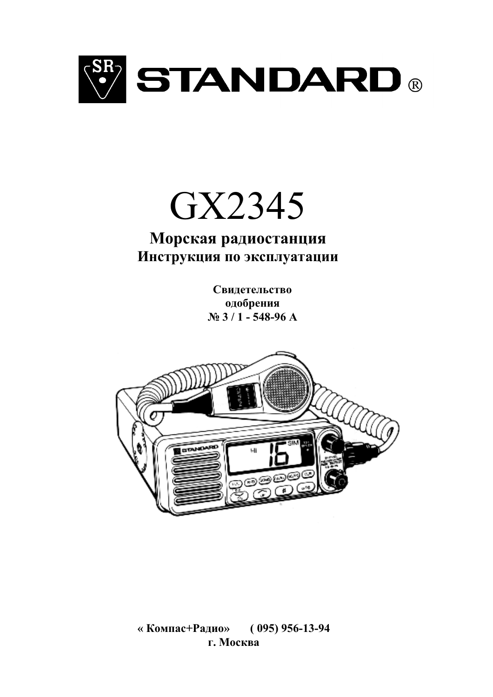

# GX2345

# Морская радиостанция Инструкция по эксплуатации

Свидетельство одобрения  $N_2$  3 / 1 - 548-96 A



 $(095)$  956-13-94 «Компас+Радио» г. Москва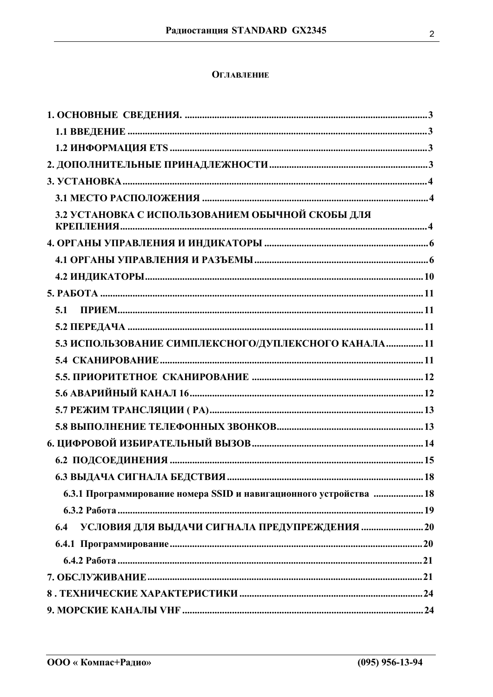# **ОГЛАВЛЕНИЕ**

| 3.2 УСТАНОВКА С ИСПОЛЬЗОВАНИЕМ ОБЫЧНОЙ СКОБЫ ДЛЯ                   |
|--------------------------------------------------------------------|
|                                                                    |
|                                                                    |
|                                                                    |
|                                                                    |
| 5.1                                                                |
|                                                                    |
| 5.3 ИСПОЛЬЗОВАНИЕ СИМПЛЕКСНОГО/ДУПЛЕКСНОГО КАНАЛА 11               |
|                                                                    |
|                                                                    |
|                                                                    |
|                                                                    |
|                                                                    |
|                                                                    |
|                                                                    |
|                                                                    |
| 6.3.1 Программирование номера SSID и навигационного устройства  18 |
|                                                                    |
| УСЛОВИЯ ДЛЯ ВЫДАЧИ СИГНАЛА ПРЕДУПРЕЖДЕНИЯ  20<br>6.4               |
|                                                                    |
|                                                                    |
|                                                                    |
|                                                                    |
|                                                                    |
|                                                                    |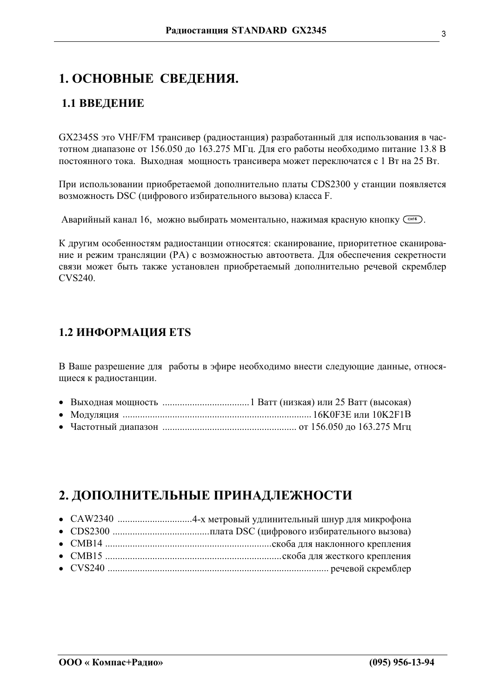# <span id="page-2-0"></span>1. ОСНОВНЫЕ СВЕДЕНИЯ.

# 1.1 ВВЕДЕНИЕ

GX2345S это VHF/FM трансивер (радиостанция) разработанный для использования в частотном диапазоне от 156.050 до 163.275 МГц. Для его работы необходимо питание 13.8 В постоянного тока. Выходная мощность трансивера может переключатся с 1 Вт на 25 Вт.

При использовании приобретаемой дополнительно платы CDS2300 у станции появляется возможность DSC (цифрового избирательного вызова) класса F.

Аварийный канал 16, можно выбирать моментально, нажимая красную кнопку Сенб).

К другим особенностям радиостанции относятся: сканирование, приоритетное сканирование и режим трансляции (РА) с возможностью автоответа. Для обеспечения секретности связи может быть также установлен приобретаемый дополнительно речевой скремблер CVS240.

# **1.2 ИНФОРМАЦИЯ ETS**

В Ваше разрешение для работы в эфире необходимо внести следующие данные, относящиеся к радиостанции.

- 
- 
- 

# 2. ДОПОЛНИТЕЛЬНЫЕ ПРИНАДЛЕЖНОСТИ

- 
- 
- 
-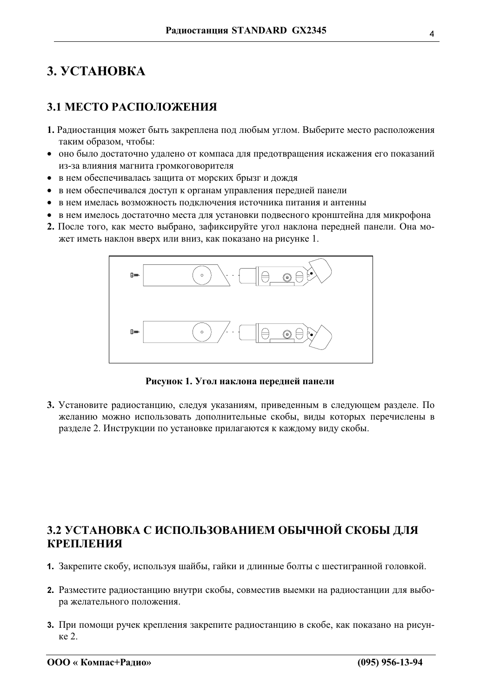# <span id="page-3-0"></span>3. VCTAHOBKA

# 3.1 МЕСТО РАСПОЛОЖЕНИЯ

- 1. Радиостанция может быть закреплена под любым углом. Выберите место расположения таким образом, чтобы:
- оно было достаточно удалено от компаса для предотвращения искажения его показаний из-за влияния магнита громкоговорителя
- в нем обеспечивалась защита от морских брызг и дождя
- в нем обеспечивался доступ к органам управления передней панели
- в нем имелась возможность подключения источника питания и антенны
- в нем имелось достаточно места для установки подвесного кронштейна для микрофона
- 2. После того, как место выбрано, зафиксируйте угол наклона передней панели. Она может иметь наклон вверх или вниз, как показано на рисунке 1.



Рисунок 1. Угол наклона передней панели

3. Установите радиостанцию, следуя указаниям, приведенным в следующем разделе. По желанию можно использовать дополнительные скобы, виды которых перечислены в разделе 2. Инструкции по установке прилагаются к каждому виду скобы.

# 3.2 УСТАНОВКА С ИСПОЛЬЗОВАНИЕМ ОБЫЧНОЙ СКОБЫ ДЛЯ **КРЕПЛЕНИЯ**

- 1. Закрепите скобу, используя шайбы, гайки и длинные болты с шестигранной головкой.
- 2. Разместите радиостанцию внутри скобы, совместив выемки на радиостанции для выбора желательного положения.
- 3. При помощи ручек крепления закрепите радиостанцию в скобе, как показано на рисунке 2.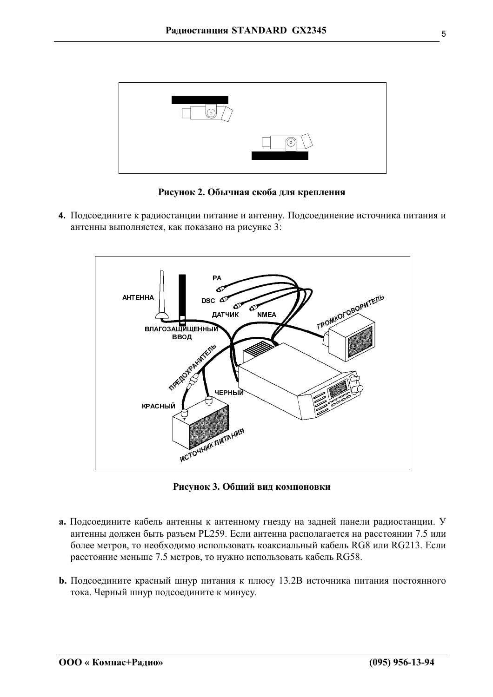

Рисунок 2. Обычная скоба для крепления

4. Подсоедините к радиостанции питание и антенну. Подсоединение источника питания и антенны выполняется, как показано на рисунке 3:



Рисунок 3. Общий вид компоновки

- а. Подсоедините кабель антенны к антенному гнезду на задней панели радиостанции. У антенны должен быть разъем PL259. Если антенна располагается на расстоянии 7.5 или более метров, то необходимо использовать коаксиальный кабель RG8 или RG213. Если расстояние меньше 7.5 метров, то нужно использовать кабель RG58.
- **b.** Подсоедините красный шнур питания к плюсу 13.2В источника питания постоянного тока. Черный шнур подсоедините к минусу.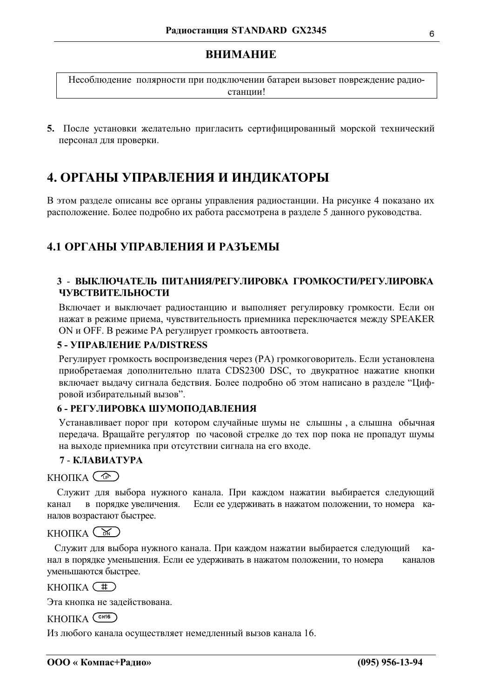<span id="page-5-0"></span>Несоблюдение полярности при подключении батареи вызовет повреждение радиостанции!

5. После установки желательно пригласить сертифицированный морской технический персонал для проверки.

# 4. ОРГАНЫ УПРАВЛЕНИЯ И ИНДИКАТОРЫ

В этом разделе описаны все органы управления радиостанции. На рисунке 4 показано их расположение. Более подробно их работа рассмотрена в разделе 5 данного руководства.

# 4.1 ОРГАНЫ УПРАВЛЕНИЯ И РАЗЪЕМЫ

## 3 - ВЫКЛЮЧАТЕЛЬ ПИТАНИЯ/РЕГУЛИРОВКА ГРОМКОСТИ/РЕГУЛИРОВКА **ЧУВСТВИТЕЛЬНОСТИ**

Включает и выключает радиостанцию и выполняет регулировку громкости. Если он нажат в режиме приема, чувствительность приемника переключается между SPEAKER ON и OFF. В режиме РА регулирует громкость автоответа.

## 5 - УПРАВЛЕНИЕ PA/DISTRESS

Регулирует громкость воспроизведения через (РА) громкоговоритель. Если установлена приобретаемая дополнительно плата CDS2300 DSC, то двукратное нажатие кнопки включает выдачу сигнала бедствия. Более подробно об этом написано в разделе "Цифровой избирательный вызов".

## 6 - РЕГУЛИРОВКА ШУМОПОДАВЛЕНИЯ

Устанавливает порог при котором случайные шумы не слышны, а слышна обычная передача. Вращайте регулятор по часовой стрелке до тех пор пока не пропадут шумы на выходе приемника при отсутствии сигнала на его входе.

## 7 - КЛАВИАТУРА

## $KHOIIKA$   $\circled{C^{p}}$

Служит для выбора нужного канала. При каждом нажатии выбирается следующий в порядке увеличения. Если ее удерживать в нажатом положении, то номера каканал налов возрастают быстрее.

## $KHOIIKA$   $(\mathcal{N})$

Служит для выбора нужного канала. При каждом нажатии выбирается следующий  $k^2$ нал в порядке уменьшения. Если ее удерживать в нажатом положении, то номера каналов уменьшаются быстрее.

## $KHOIIKA$   $(\pm)$

Эта кнопка не задействована.

## КНОПКА CH16

Из любого канала осуществляет немедленный вызов канала 16.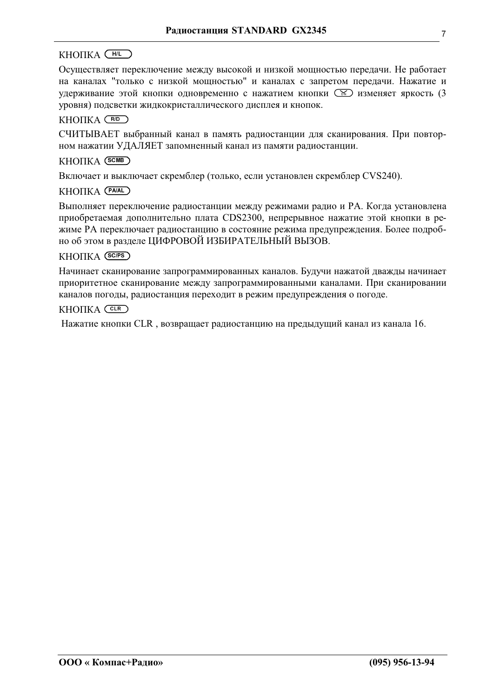## $KHOIIKA$   $(H/L)$

Осуществляет переключение между высокой и низкой мощностью передачи. Не работает на каналах "только с низкой мощностью" и каналах с запретом передачи. Нажатие и удерживание этой кнопки одновременно с нажатием кнопки  $\boxed{\infty}$  изменяет яркость (3 уровня) подсветки жидкокристаллического дисплея и кнопок.

#### KHOIIKA (RD)

СЧИТЫВАЕТ выбранный канал в память радиостанции для сканирования. При повторном нажатии УДАЛЯЕТ запомненный канал из памяти радиостанции.

#### **КНОПКА** (SCMB)

Включает и выключает скремблер (только, если установлен скремблер CVS240).

#### KHOIIKA (PAIAL)

Выполняет переключение радиостанции между режимами радио и РА. Когда установлена приобретаемая дополнительно плата CDS2300, непрерывное нажатие этой кнопки в режиме РА переключает радиостанцию в состояние режима предупреждения. Более подробно об этом в разделе ЦИФРОВОЙ ИЗБИРАТЕЛЬНЫЙ ВЫЗОВ.

#### **КНОПКА** (SCIPS)

Начинает сканирование запрограммированных каналов. Будучи нажатой дважды начинает приоритетное сканирование между запрограммированными каналами. При сканировании каналов погоды, радиостанция переходит в режим предупреждения о погоде.

#### $KHOIIKA$  (CLR)

Нажатие кнопки CLR, возвращает радиостанцию на предыдущий канал из канала 16.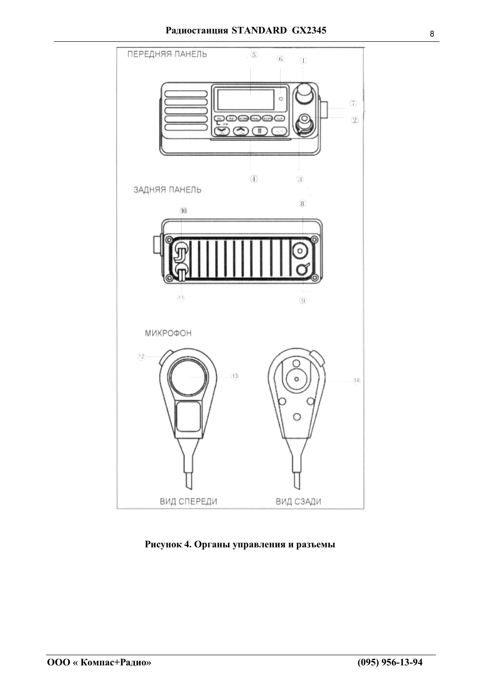



Рисунок 4. Органы управления и разъемы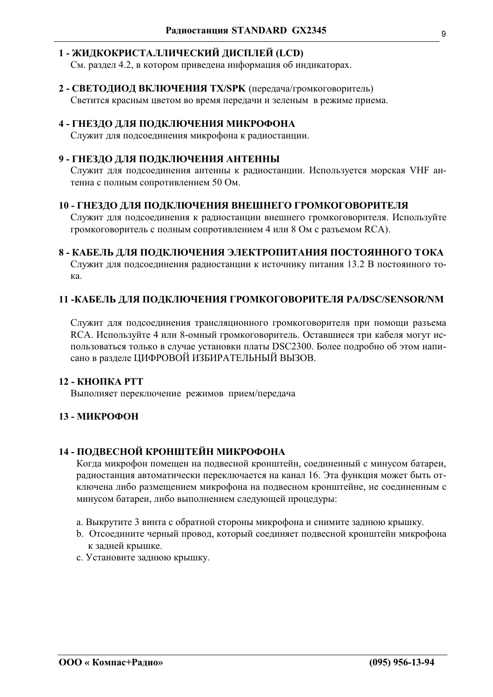#### 1 - ЖИДКОКРИСТАЛЛИЧЕСКИЙ ДИСПЛЕЙ (LCD)

См. раздел 4.2, в котором приведена информация об индикаторах.

2 - СВЕТОДИОД ВКЛЮЧЕНИЯ ТХ/SPK (передача/громкоговоритель) Светится красным цветом во время передачи и зеленым в режиме приема.

#### 4 - ГНЕЗДО ДЛЯ ПОДКЛЮЧЕНИЯ МИКРОФОНА

Служит для подсоединения микрофона к радиостанции.

#### 9 - ГНЕЗДО ДЛЯ ПОДКЛЮЧЕНИЯ АНТЕННЫ

Служит для подсоединения антенны к радиостанции. Используется морская VHF антенна с полным сопротивлением 50 Ом.

#### 10 - ГНЕЗДО ДЛЯ ПОДКЛЮЧЕНИЯ ВНЕШНЕГО ГРОМКОГОВОРИТЕЛЯ

Служит для подсоединения к радиостанции внешнего громкоговорителя. Используйте громкоговоритель с полным сопротивлением 4 или 8 Ом с разъемом RCA).

#### 8 - КАБЕЛЬ ДЛЯ ПОДКЛЮЧЕНИЯ ЭЛЕКТРОПИТАНИЯ ПОСТОЯННОГО ТОКА

Служит для подсоединения радиостанции к источнику питания 13.2 В постоянного тока.

#### 11 -КАБЕЛЬ ДЛЯ ПОДКЛЮЧЕНИЯ ГРОМКОГОВОРИТЕЛЯ PA/DSC/SENSOR/NM

Служит для подсоединения трансляционного громкоговорителя при помощи разъема RCA. Используйте 4 или 8-омный громкоговоритель. Оставшиеся три кабеля могут использоваться только в случае установки платы DSC2300. Более подробно об этом написано в разделе ЦИФРОВОЙ ИЗБИРАТЕЛЬНЫЙ ВЫЗОВ.

#### 12 - КНОПКА РТТ

Выполняет переключение режимов прием/передача

#### 13 - МИКРОФОН

#### 14 - ПОДВЕСНОЙ КРОНШТЕЙН МИКРОФОНА

Когда микрофон помещен на подвесной кронштейн, соединенный с минусом батареи, радиостанция автоматически переключается на канал 16. Эта функция может быть отключена либо размещением микрофона на подвесном кронштейне, не соединенным с минусом батареи, либо выполнением следующей процедуры:

- а. Выкрутите 3 винта с обратной стороны микрофона и снимите заднюю крышку.
- b. Отсоедините черный провод, который соединяет подвесной кронштейн микрофона к задней крышке.
- с. Установите заднюю крышку.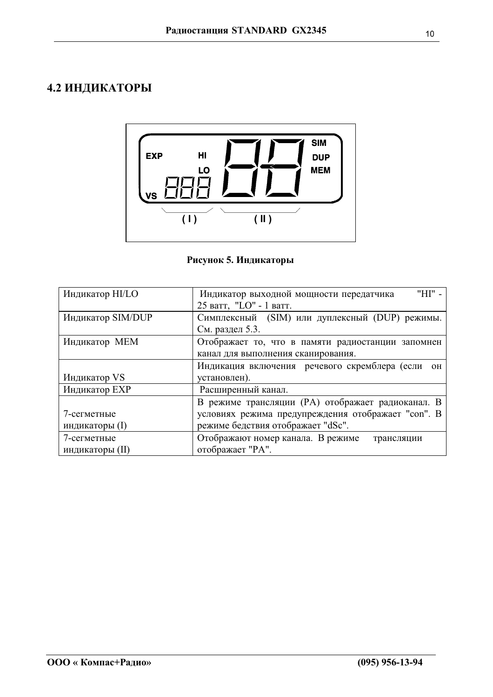# <span id="page-9-0"></span>4.2 ИНДИКАТОРЫ



## Рисунок 5. Индикаторы

| Индикатор HI/LO   | "HI" -<br>Индикатор выходной мощности передатчика  |  |  |  |
|-------------------|----------------------------------------------------|--|--|--|
|                   | 25 ватт, "LO" - 1 ватт.                            |  |  |  |
| Индикатор SIM/DUP | Симплексный (SIM) или дуплексный (DUP) режимы.     |  |  |  |
|                   | См. раздел 5.3.                                    |  |  |  |
| Индикатор МЕМ     | Отображает то, что в памяти радиостанции запомнен  |  |  |  |
|                   | канал для выполнения сканирования.                 |  |  |  |
|                   | Индикация включения речевого скремблера (если он   |  |  |  |
| Индикатор VS      | установлен).                                       |  |  |  |
| Индикатор ЕХР     | Расширенный канал.                                 |  |  |  |
|                   | В режиме трансляции (РА) отображает радиоканал. В  |  |  |  |
| 7-сегметные       | условиях режима предупреждения отображает "con". В |  |  |  |
| индикаторы (I)    | режиме бедствия отображает "dSc".                  |  |  |  |
| 7-сегметные       | Отображают номер канала. В режиме<br>трансляции    |  |  |  |
| индикаторы (II)   | отображает "РА".                                   |  |  |  |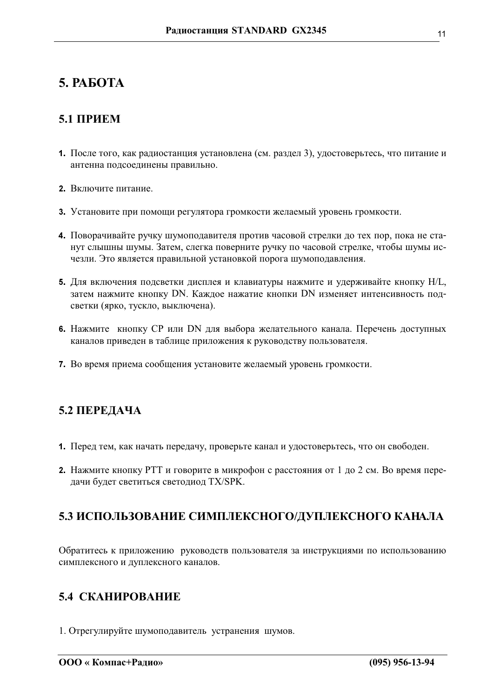# <span id="page-10-0"></span>5. PAGOTA

# $5.1$   $\Pi$ **PHEM**

- 1. После того, как радиостанция установлена (см. раздел 3), удостоверьтесь, что питание и антенна подсоединены правильно.
- 2 Включите питание.
- 3. Установите при помощи регулятора громкости желаемый уровень громкости.
- 4. Поворачивайте ручку шумоподавителя против часовой стрелки до тех пор, пока не станут слышны шумы. Затем, слегка поверните ручку по часовой стрелке, чтобы шумы исчезли. Это является правильной установкой порога шумоподавления.
- 5. Для включения подсветки дисплея и клавиатуры нажмите и удерживайте кнопку Н/L, затем нажмите кнопку DN. Каждое нажатие кнопки DN изменяет интенсивность подсветки (ярко, тускло, выключена).
- 6. Нажмите кнопку СР или DN для выбора желательного канала. Перечень доступных каналов приведен в таблице приложения к руководству пользователя.
- 7. Во время приема сообщения установите желаемый уровень громкости.

# 5.2 ПЕРЕДАЧА

- 1. Перед тем, как начать передачу, проверьте канал и удостоверьтесь, что он свободен.
- 2. Нажмите кнопку РТТ и говорите в микрофон с расстояния от 1 до 2 см. Во время передачи будет светиться светодиод TX/SPK.

# 5.3 ИСПОЛЬЗОВАНИЕ СИМПЛЕКСНОГО/ДУПЛЕКСНОГО КАНАЛА

Обратитесь к приложению руководств пользователя за инструкциями по использованию симплексного и дуплексного каналов.

# 5.4 СКАНИРОВАНИЕ

1. Отрегулируйте шумоподавитель устранения шумов.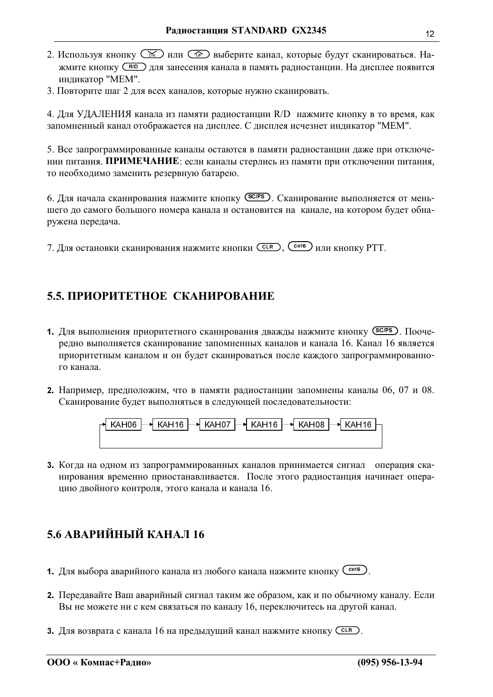- <span id="page-11-0"></span>2. Используя кнопку  $\circled{K}$  или  $\circled{F}$  выберите канал, которые будут сканироваться. Нажмите кнопку CRID для занесения канала в память радиостанции. На дисплее появится индикатор "МЕМ".
- 3. Повторите шаг 2 для всех каналов, которые нужно сканировать.

4. Для УДАЛЕНИЯ канала из памяти радиостанции R/D нажмите кнопку в то время, как запомненный канал отображается на дисплее. С дисплея исчезнет индикатор "МЕМ".

5. Все запрограммированные каналы остаются в памяти радиостанции даже при отключении питания. ПРИМЕЧАНИЕ: если каналы стерлись из памяти при отключении питания, то необходимо заменить резервную батарею.

6. Для начала сканирования нажмите кнопку (SCPS). Сканирование выполняется от меньшего до самого большого номера канала и остановится на канале, на котором будет обнаружена передача.

7. Для остановки сканирования нажмите кнопки Сек), Сеньб или кнопку РТТ.

# 5.5. ПРИОРИТЕТНОЕ СКАНИРОВАНИЕ

- 1. Для выполнения приоритетного сканирования дважды нажмите кнопку (SCPS). Поочередно выполняется сканирование запомненных каналов и канала 16. Канал 16 является приоритетным каналом и он будет сканироваться после каждого запрограммированного канала.
- 2. Например, предположим, что в памяти радиостанции запомнены каналы 06, 07 и 08. Сканирование будет выполняться в следующей последовательности:



3. Когда на одном из запрограммированных каналов принимается сигнал операция сканирования временно приостанавливается. После этого радиостанция начинает операцию двойного контроля, этого канала и канала 16.

# 5.6 АВАРИЙНЫЙ КАНАЛ 16

- 1. Для выбора аварийного канала из любого канала нажмите кнопку Сене).
- 2. Передавайте Ваш аварийный сигнал таким же образом, как и по обычному каналу. Если Вы не можете ни с кем связаться по каналу 16, переключитесь на другой канал.
- 3. Для возврата с канала 16 на предыдущий канал нажмите кнопку СССР.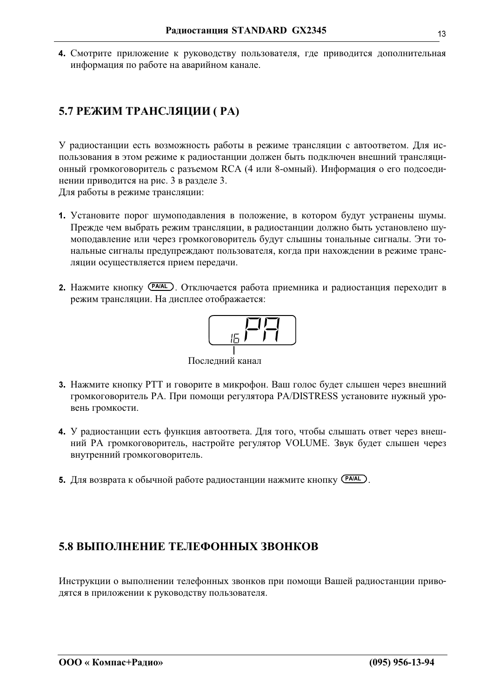<span id="page-12-0"></span>4. Смотрите приложение к руководству пользователя, где приводится дополнительная информация по работе на аварийном канале.

# 5.7 РЕЖИМ ТРАНСЛЯЦИИ (РА)

У радиостанции есть возможность работы в режиме трансляции с автоответом. Для использования в этом режиме к радиостанции должен быть подключен внешний трансляционный громкоговоритель с разъемом RCA (4 или 8-омный). Информация о его подсоединении приводится на рис. 3 в разделе 3.

Для работы в режиме трансляции:

- 1. Установите порог шумоподавления в положение, в котором будут устранены шумы. Прежде чем выбрать режим трансляции, в радиостанции должно быть установлено шумоподавление или через громкоговоритель будут слышны тональные сигналы. Эти тональные сигналы предупреждают пользователя, когда при нахождении в режиме трансляции осуществляется прием передачи.
- 2. Нажмите кнопку (РАЈАL). Отключается работа приемника и радиостанция переходит в режим трансляции. На дисплее отображается:



Последний канал

- 3. Нажмите кнопку РТТ и говорите в микрофон. Ваш голос будет слышен через внешний громкоговоритель PA. При помощи регулятора PA/DISTRESS установите нужный уровень громкости.
- 4. У радиостанции есть функция автоответа. Для того, чтобы слышать ответ через внешний PA громкоговоритель, настройте регулятор VOLUME. Звук будет слышен через внутренний громкоговоритель.
- 5. Для возврата к обычной работе радиостанции нажмите кнопку (РАИL).

# 5.8 ВЫПОЛНЕНИЕ ТЕЛЕФОННЫХ ЗВОНКОВ

Инструкции о выполнении телефонных звонков при помощи Вашей радиостанции приводятся в приложении к руководству пользователя.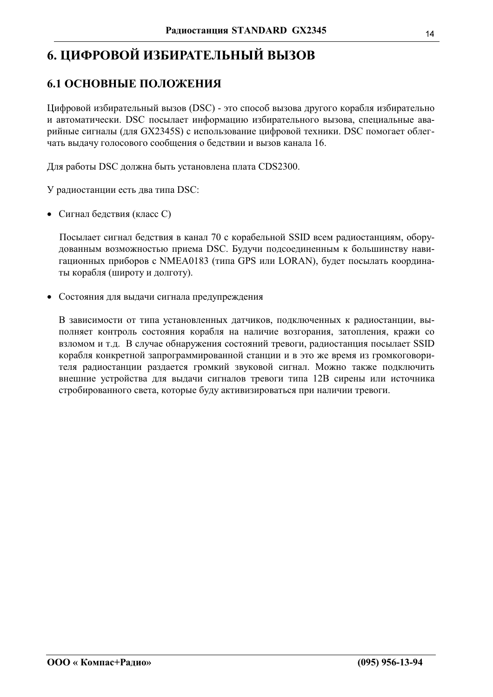# <span id="page-13-0"></span>6. ЦИФРОВОЙ ИЗБИРАТЕЛЬНЫЙ ВЫЗОВ

# 6.1 ОСНОВНЫЕ ПОЛОЖЕНИЯ

Цифровой избирательный вызов (DSC) - это способ вызова другого корабля избирательно и автоматически. DSC посылает информацию избирательного вызова, специальные аварийные сигналы (для GX2345S) с использование цифровой техники. DSC помогает облегчать выдачу голосового сообщения о бедствии и вызов канала 16.

Для работы DSC должна быть установлена плата CDS2300.

У радиостанции есть два типа DSC:

• Сигнал бедствия (класс С)

Посылает сигнал бедствия в канал 70 с корабельной SSID всем радиостанциям, оборудованным возможностью приема DSC. Будучи подсоединенным к большинству навигационных приборов с NMEA0183 (типа GPS или LORAN), будет посылать координаты корабля (широту и долготу).

• Состояния для выдачи сигнала предупреждения

В зависимости от типа установленных датчиков, подключенных к радиостанции, выполняет контроль состояния корабля на наличие возгорания, затопления, кражи со взломом и т.д. В случае обнаружения состояний тревоги, радиостанция посылает SSID корабля конкретной запрограммированной станции и в это же время из громкоговорителя радиостанции раздается громкий звуковой сигнал. Можно также подключить внешние устройства для выдачи сигналов тревоги типа 12В сирены или источника стробированного света, которые буду активизироваться при наличии тревоги.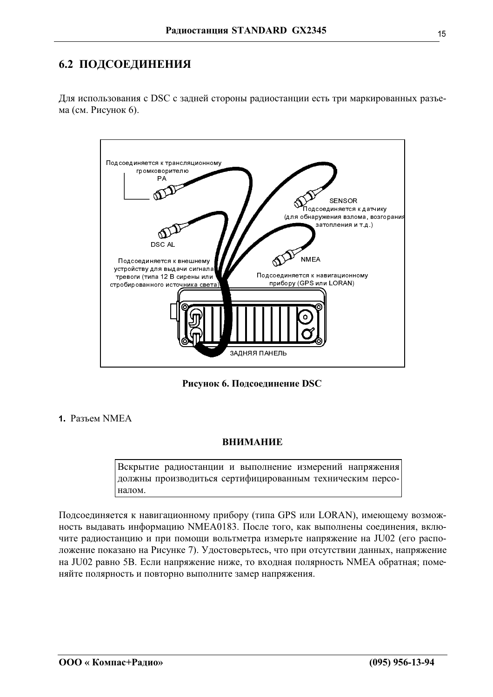# <span id="page-14-0"></span>6.2 ПОДСОЕДИНЕНИЯ

Для использования с DSC с задней стороны радиостанции есть три маркированных разъема (см. Рисунок 6).



Рисунок 6. Подсоединение DSC

1 Разъем NMEA

## **ВНИМАНИЕ**

Вскрытие радиостанции и выполнение измерений напряжения должны производиться сертифицированным техническим персоналом.

Подсоединяется к навигационному прибору (типа GPS или LORAN), имеющему возможность выдавать информацию NMEA0183. После того, как выполнены соединения, включите радиостанцию и при помощи вольтметра измерьте напряжение на JU02 (его расположение показано на Рисунке 7). Удостоверьтесь, что при отсутствии данных, напряжение на JU02 равно 5В. Если напряжение ниже, то входная полярность NMEA обратная; поменяйте полярность и повторно выполните замер напряжения.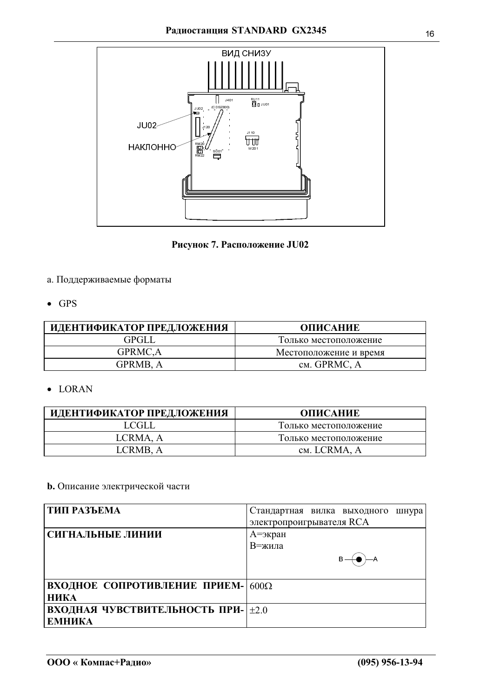

Рисунок 7. Расположение JU02

- а. Поддерживаемые форматы
- $\bullet$  GPS

| ИДЕНТИФИКАТОР ПРЕДЛОЖЕНИЯ | <b>ОПИСАНИЕ</b>        |
|---------------------------|------------------------|
| GPGLL                     | Только местоположение  |
| GPRMC,A                   | Местоположение и время |
| GPRMB. A                  | см. GPRMC, A           |

 $\bullet$  LORAN

| ИДЕНТИФИКАТОР ПРЕДЛОЖЕНИЯ | ОПИСАНИЕ              |
|---------------------------|-----------------------|
| LCGLL                     | Только местоположение |
| LCRMA, A                  | Только местоположение |
| LCRMB. A                  | см. LCRMA, A          |

## **b.** Описание электрической части

| <b>  ТИП РАЗЪЕМА</b>               | Стандартная вилка выходного<br>шнура<br>электропроигрывателя RCA |
|------------------------------------|------------------------------------------------------------------|
|                                    |                                                                  |
| СИГНАЛЬНЫЕ ЛИНИИ                   | А=экран                                                          |
|                                    | В=жила                                                           |
|                                    |                                                                  |
| ВХОДНОЕ СОПРОТИВЛЕНИЕ ПРИЕМ- 600Ω  |                                                                  |
| <b>НИКА</b>                        |                                                                  |
| ВХОДНАЯ ЧУВСТВИТЕЛЬНОСТЬ ПРИ- +2.0 |                                                                  |
| <b>ЕМНИКА</b>                      |                                                                  |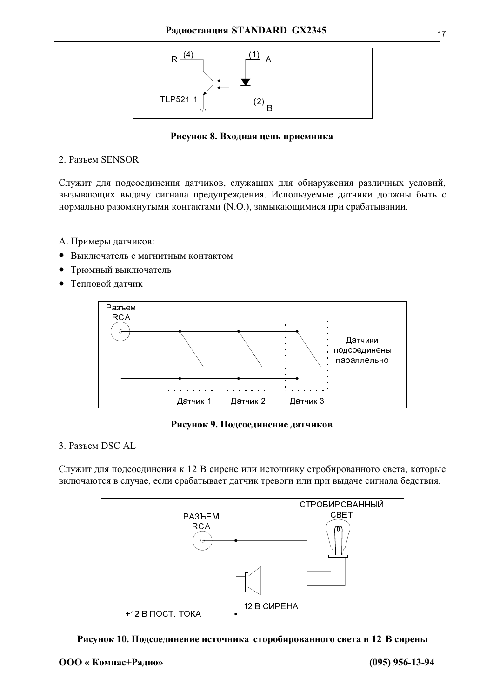

#### Рисунок 8. Входная цепь приемника

#### 2. Разъем SENSOR

Служит для подсоединения датчиков, служащих для обнаружения различных условий, вызывающих выдачу сигнала предупреждения. Используемые датчики должны быть с нормально разомкнутыми контактами (N.O.), замыкающимися при срабатывании.

- А. Примеры датчиков:
- Выключатель с магнитным контактом
- Трюмный выключатель
- Тепловой датчик



#### Рисунок 9. Подсоединение датчиков

3. Разъем DSC AL

Служит для подсоединения к 12 В сирене или источнику стробированного света, которые включаются в случае, если срабатывает датчик тревоги или при выдаче сигнала бедствия.



Рисунок 10. Подсоединение источника сторобированного света и 12 В сирены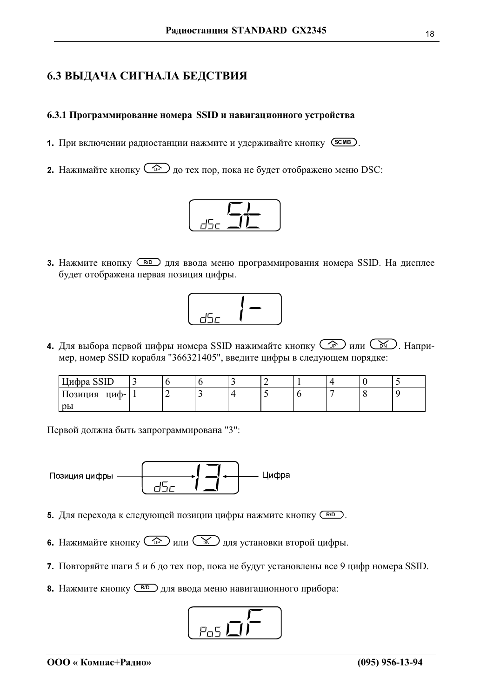# <span id="page-17-0"></span>6.3 ВЫДАЧА СИГНАЛА БЕДСТВИЯ

#### 6.3.1 Программирование номера SSID и навигационного устройства

- 1. При включении радиостанции нажмите и удерживайте кнопку (SCMB).
- **2.** Нажимайте кнопку  $\overline{\mathbb{CP}}$  до тех пор, пока не будет отображено меню DSC:



**3.** Нажмите кнопку (RID) для ввода меню программирования номера SSID. На дисплее будет отображена первая позиция цифры.



4. Для выбора первой цифры номера SSID нажимайте кнопку CP или CD . Например, номер SSID корабля "366321405", введите цифры в следующем порядке:

| Цифра SSID          |   |  | ∼                        |  |  |
|---------------------|---|--|--------------------------|--|--|
| циф-   .<br>Позиция | ∽ |  | $\overline{\phantom{0}}$ |  |  |
| pы                  |   |  |                          |  |  |

Первой должна быть запрограммирована "3":



- 5. Для перехода к следующей позиции цифры нажмите кнопку (RD).
- 6. Нажимайте кнопку  $\circled{f}$ или  $\circled{f}$ для установки второй цифры.
- 7. Повторяйте шаги 5 и 6 до тех пор, пока не будут установлены все 9 цифр номера SSID.
- 8. Нажмите кнопку (RD) для ввода меню навигационного прибора:

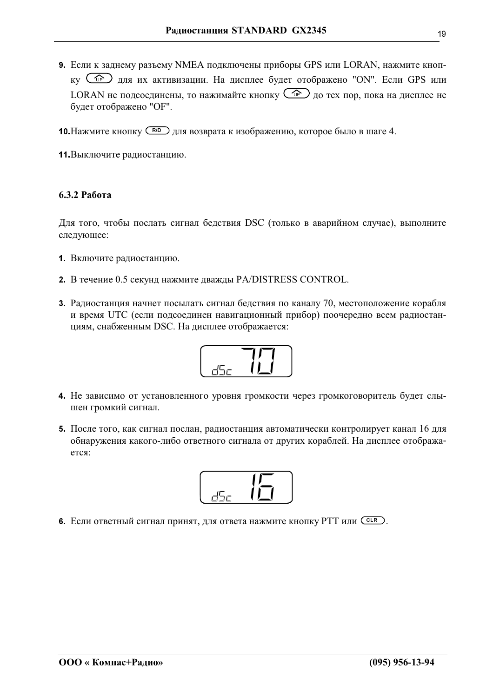<span id="page-18-0"></span>9. Если к заднему разъему NMEA подключены приборы GPS или LORAN, нажмите кнопку CPS для их активизации. На дисплее будет отображено "ON". Если GPS или LORAN не подсоединены, то нажимайте кнопку  $\mathbb{CP}$  до тех пор, пока на дисплее не будет отображено "ОҒ".

10. Нажмите кнопку (RID) для возврата к изображению, которое было в шаге 4.

11. Выключите радиостанцию.

#### 6.3.2 Работа

Для того, чтобы послать сигнал бедствия DSC (только в аварийном случае), выполните следующее:

- 1. Включите радиостанцию.
- 2. В течение 0.5 секунд нажмите дважды PA/DISTRESS CONTROL.
- 3. Радиостанция начнет посылать сигнал бедствия по каналу 70, местоположение корабля и время UTC (если подсоединен навигационный прибор) поочередно всем радиостанциям, снабженным DSC. На дисплее отображается:



- 4. Не зависимо от установленного уровня громкости через громкоговоритель будет слышен громкий сигнал.
- 5. После того, как сигнал послан, радиостанция автоматически контролирует канал 16 для обнаружения какого-либо ответного сигнала от других кораблей. На дисплее отображается:



6. Если ответный сигнал принят, для ответа нажмите кнопку РТТ или СССКО.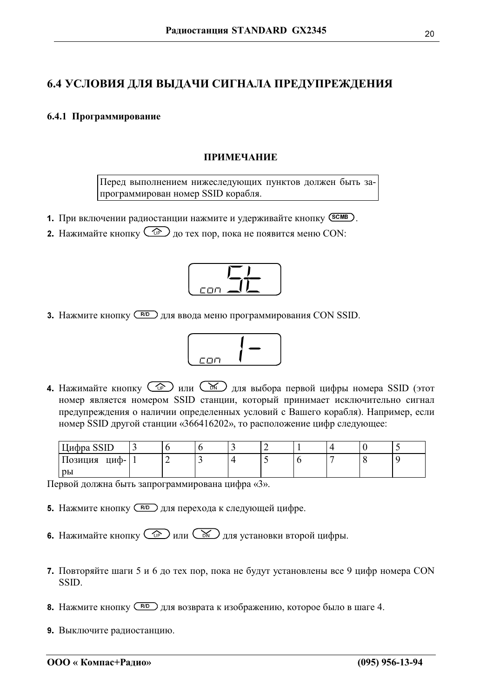# <span id="page-19-0"></span>6.4 УСЛОВИЯ ДЛЯ ВЫДАЧИ СИГНАЛА ПРЕДУПРЕЖДЕНИЯ

#### 6.4.1 Программирование

#### ПРИМЕЧАНИЕ

Перед выполнением нижеследующих пунктов должен быть запрограммирован номер SSID корабля.

- 1. При включении радиостанции нажмите и удерживайте кнопку (SCMB).
- **2.** Нажимайте кнопку  $\overline{\mathbb{CP}}$  до тех пор, пока не появится меню CON:



**3.** Нажмите кнопку (RD) для ввода меню программирования CON SSID.



4. Нажимайте кнопку  $\circled{C_{\mathbb{P}}}\circled{H\mathbb{P}}$  или  $\circled{K}\circled{H\mathbb{P}}$  для выбора первой цифры номера SSID (этот номер является номером SSID станции, который принимает исключительно сигнал предупреждения о наличии определенных условий с Вашего корабля). Например, если номер SSID другой станции «366416202», то расположение цифр следующее:

| Цифра SSID      | ັ |  | . |  |  |  |
|-----------------|---|--|---|--|--|--|
| циф-<br>Позиция |   |  |   |  |  |  |
| pы              |   |  |   |  |  |  |

Первой должна быть запрограммирована цифра «З».

- **5.** Нажмите кнопку (RD) для перехода к следующей цифре.
- 6. Нажимайте кнопку  $\circled{f}$ или  $\circled{f}$ для установки второй цифры.
- 7. Повторяйте шаги 5 и 6 до тех пор, пока не будут установлены все 9 цифр номера CON SSID.
- 8. Нажмите кнопку (RD) для возврата к изображению, которое было в шаге 4.
- 9. Выключите радиостанцию.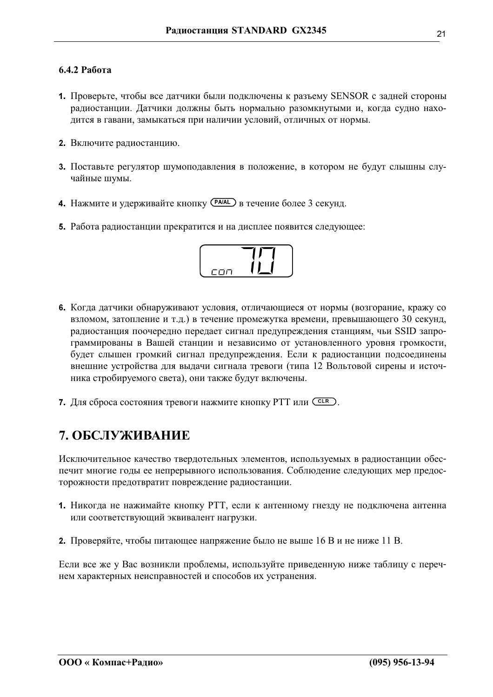#### <span id="page-20-0"></span> $6.4.2$  Работа

- 1. Проверьте, чтобы все датчики были подключены к разъему SENSOR с задней стороны радиостанции. Датчики должны быть нормально разомкнутыми и, когда судно находится в гавани, замыкаться при наличии условий, отличных от нормы.
- 2. Включите радиостанцию.
- 3. Поставьте регулятор шумоподавления в положение, в котором не будут слышны случайные шумы.
- 4. Нажмите и удерживайте кнопку (РА/АL) в течение более 3 секунд.
- 5. Работа радиостанции прекратится и на дисплее появится следующее:



- 6. Когда датчики обнаруживают условия, отличающиеся от нормы (возгорание, кражу со взломом, затопление и т.д.) в течение промежутка времени, превышающего 30 секунд, радиостанция поочередно передает сигнал предупреждения станциям, чьи SSID запрограммированы в Вашей станции и независимо от установленного уровня громкости, будет слышен громкий сигнал предупреждения. Если к радиостанции подсоединены внешние устройства для выдачи сигнала тревоги (типа 12 Вольтовой сирены и источника стробируемого света), они также будут включены.
- 7. Для сброса состояния тревоги нажмите кнопку РТТ или СССР.

# 7. ОБСЛУЖИВАНИЕ

Исключительное качество твердотельных элементов, используемых в радиостанции обеспечит многие годы ее непрерывного использования. Соблюдение следующих мер предосторожности предотвратит повреждение радиостанции.

- 1. Никогда не нажимайте кнопку РТТ, если к антенному гнезду не подключена антенна или соответствующий эквивалент нагрузки.
- 2. Проверяйте, чтобы питающее напряжение было не выше 16 В и не ниже 11 В.

Если все же у Вас возникли проблемы, используйте приведенную ниже таблицу с перечнем характерных неисправностей и способов их устранения.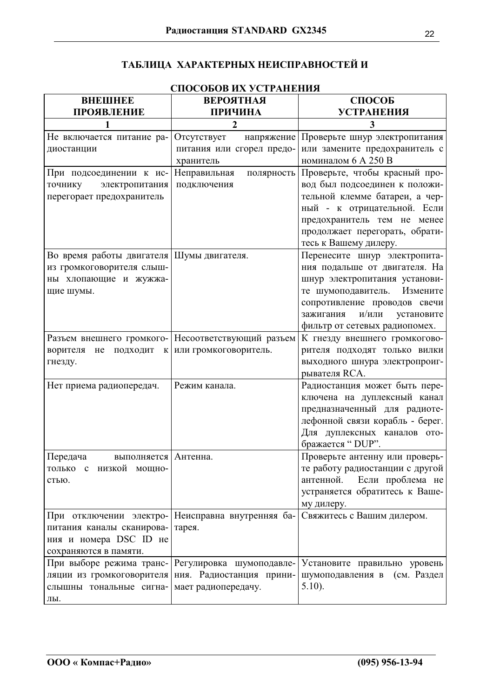# ТАБЛИЦА ХАРАКТЕРНЫХ НЕИСПРАВНОСТЕЙ И

| СПОСОБОВ ИХ УСТРАНЕНИЯ                      |                                                    |                                  |  |  |  |  |  |  |
|---------------------------------------------|----------------------------------------------------|----------------------------------|--|--|--|--|--|--|
| <b>BHEIMHEE</b>                             | <b>ВЕРОЯТНАЯ</b>                                   | СПОСОБ                           |  |  |  |  |  |  |
| <b>ПРОЯВЛЕНИЕ</b>                           | ПРИЧИНА                                            | <b>УСТРАНЕНИЯ</b>                |  |  |  |  |  |  |
| 1                                           | $\mathbf{2}$                                       | 3                                |  |  |  |  |  |  |
| Не включается питание ра-                   | Отсутствует<br>напряжение                          | Проверьте шнур электропитания    |  |  |  |  |  |  |
| диостанции                                  | питания или сгорел предо-                          | или замените предохранитель с    |  |  |  |  |  |  |
|                                             | хранитель                                          | номиналом 6 А 250 В              |  |  |  |  |  |  |
| При подсоединении к ис-                     | Неправильная<br>полярность                         | Проверьте, чтобы красный про-    |  |  |  |  |  |  |
| электропитания<br>точнику                   | подключения                                        | вод был подсоединен к положи-    |  |  |  |  |  |  |
| перегорает предохранитель                   |                                                    | тельной клемме батареи, а чер-   |  |  |  |  |  |  |
|                                             |                                                    | ный - к отрицательной. Если      |  |  |  |  |  |  |
|                                             |                                                    | предохранитель тем не менее      |  |  |  |  |  |  |
|                                             |                                                    | продолжает перегорать, обрати-   |  |  |  |  |  |  |
|                                             |                                                    | тесь к Вашему дилеру.            |  |  |  |  |  |  |
| Во время работы двигателя Шумы двигателя.   |                                                    | Перенесите шнур электропита-     |  |  |  |  |  |  |
| из громкоговорителя слыш-                   |                                                    | ния подальше от двигателя. На    |  |  |  |  |  |  |
| ны хлопающие и жужжа-                       |                                                    | шнур электропитания установи-    |  |  |  |  |  |  |
| щие шумы.                                   |                                                    | те шумоподавитель. Измените      |  |  |  |  |  |  |
|                                             |                                                    | сопротивление проводов свечи     |  |  |  |  |  |  |
|                                             |                                                    | и/или<br>зажигания<br>установите |  |  |  |  |  |  |
|                                             |                                                    | фильтр от сетевых радиопомех.    |  |  |  |  |  |  |
| Разъем внешнего громкого-                   | Несоответствующий разъем                           | К гнезду внешнего громкогово-    |  |  |  |  |  |  |
| ворителя<br>подходит<br>He<br>К             | или громкоговоритель.                              | рителя подходят только вилки     |  |  |  |  |  |  |
| гнезду.                                     |                                                    | выходного шнура электропроиг-    |  |  |  |  |  |  |
|                                             |                                                    | рывателя RCA.                    |  |  |  |  |  |  |
| Нет приема радиопередач.                    | Режим канала.                                      | Радиостанция может быть пере-    |  |  |  |  |  |  |
|                                             |                                                    | ключена на дуплексный канал      |  |  |  |  |  |  |
|                                             |                                                    | предназначенный для радиоте-     |  |  |  |  |  |  |
|                                             |                                                    | лефонной связи корабль - берег.  |  |  |  |  |  |  |
|                                             |                                                    | Для дуплексных каналов ото-      |  |  |  |  |  |  |
|                                             |                                                    | бражается " DUP".                |  |  |  |  |  |  |
| Передача<br>выполняется Антенна             |                                                    | Проверьте антенну или проверь-   |  |  |  |  |  |  |
| только с низкой мощно-                      |                                                    | те работу радиостанции с другой  |  |  |  |  |  |  |
| стью.                                       |                                                    | Если проблема не<br>антенной.    |  |  |  |  |  |  |
|                                             |                                                    | устраняется обратитесь к Ваше-   |  |  |  |  |  |  |
|                                             |                                                    | му дилеру.                       |  |  |  |  |  |  |
|                                             | При отключении электро- Неисправна внутренняя ба-  | Свяжитесь с Вашим дилером.       |  |  |  |  |  |  |
| питания каналы сканирова- тарея.            |                                                    |                                  |  |  |  |  |  |  |
| ния и номера DSC ID не                      |                                                    |                                  |  |  |  |  |  |  |
| сохраняются в памяти.                       |                                                    |                                  |  |  |  |  |  |  |
|                                             | При выборе режима транс- Регулировка шумоподавле-  | Установите правильно уровень     |  |  |  |  |  |  |
|                                             | ляции из громкоговорителя ния. Радиостанция прини- | шумоподавления в (см. Раздел     |  |  |  |  |  |  |
| слышны тональные сигна- мает радиопередачу. |                                                    | $5.10$ ).                        |  |  |  |  |  |  |
| лы.                                         |                                                    |                                  |  |  |  |  |  |  |

CHOCOEOD HY VCTD A HEHHA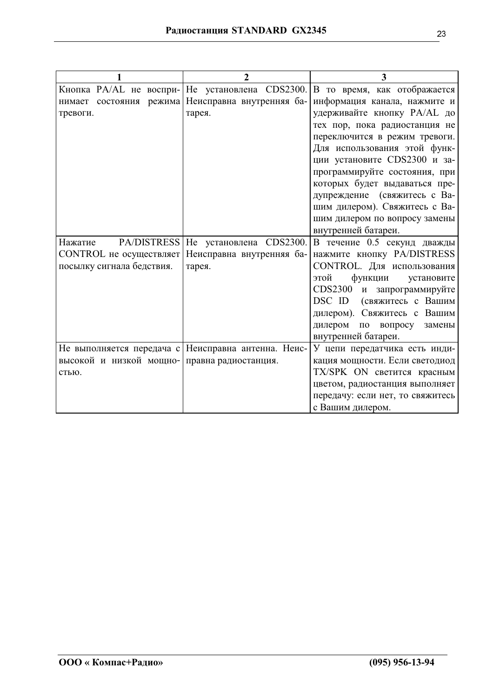| 1                                            | $\overline{2}$                                      | 3                                    |
|----------------------------------------------|-----------------------------------------------------|--------------------------------------|
|                                              | Кнопка PA/AL не воспри- Не установлена CDS2300.     | В то время, как отображается         |
|                                              | нимает состояния режима Неисправна внутренняя ба-   | информация канала, нажмите и         |
| тревоги.                                     | тарея.                                              | удерживайте кнопку PA/AL до          |
|                                              |                                                     | тех пор, пока радиостанция не        |
|                                              |                                                     | переключится в режим тревоги.        |
|                                              |                                                     | Для использования этой функ-         |
|                                              |                                                     | ции установите CDS2300 и за-         |
|                                              |                                                     | программируйте состояния, при        |
|                                              |                                                     | которых будет выдаваться пре-        |
|                                              |                                                     | дупреждение (свяжитесь с Ва-         |
|                                              |                                                     | шим дилером). Свяжитесь с Ва-        |
|                                              |                                                     | шим дилером по вопросу замены        |
|                                              |                                                     | внутренней батареи.                  |
| Нажатие                                      | PA/DISTRESS   Не установлена CDS2300.               | В течение 0.5 секунд дважды          |
| CONTROL не осуществляет                      | Неисправна внутренняя ба-                           | нажмите кнопку PA/DISTRESS           |
| посылку сигнала бедствия.                    | тарея.                                              | CONTROL. Для использования           |
|                                              |                                                     | функции<br>этой<br>установите        |
|                                              |                                                     | <b>CDS2300</b><br>и запрограммируйте |
|                                              |                                                     | DSC ID<br>(свяжитесь с Вашим         |
|                                              |                                                     | дилером). Свяжитесь с Вашим          |
|                                              |                                                     | дилером по вопросу<br>замены         |
|                                              |                                                     | внутренней батареи.                  |
|                                              | Не выполняется передача с Неисправна антенна. Неис- | У цепи передатчика есть инди-        |
| высокой и низкой мощно- правна радиостанция. |                                                     | кация мощности. Если светодиод       |
| стью.                                        |                                                     | TX/SPK ON светится красным           |
|                                              |                                                     | цветом, радиостанция выполняет       |
|                                              |                                                     | передачу: если нет, то свяжитесь     |
|                                              |                                                     | с Вашим дилером.                     |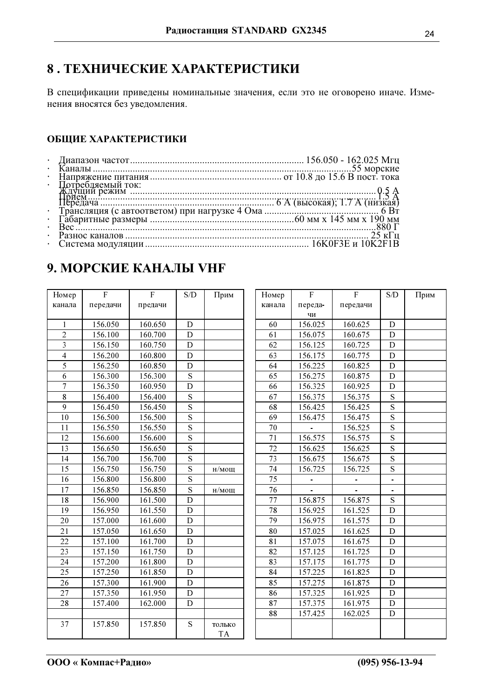# 8. ТЕХНИЧЕСКИЕ ХАРАКТЕРИСТИКИ

В спецификации приведены номинальные значения, если это не оговорено иначе. Изменения вносятся без уведомления.

# ОБЩИЕ ХАРАКТЕРИСТИКИ

| Потребляемый ток: |  |
|-------------------|--|
|                   |  |
|                   |  |
|                   |  |
|                   |  |
|                   |  |
|                   |  |
|                   |  |
|                   |  |

# 9. МОРСКИЕ КАНАЛЫ VHF

| Номер          | F        | $\mathsf{F}$ | S/D                     | Прим                |
|----------------|----------|--------------|-------------------------|---------------------|
| канала         | передачи | предачи      |                         |                     |
|                |          |              |                         |                     |
| $\mathbf{1}$   | 156.050  | 160.650      | D                       |                     |
| $\overline{c}$ | 156.100  | 160.700      | D                       |                     |
| 3              | 156.150  | 160.750      | D                       |                     |
| $\overline{4}$ | 156.200  | 160.800      | D                       |                     |
| 5              | 156.250  | 160.850      | D                       |                     |
| 6              | 156.300  | 156.300      | S                       |                     |
| $\overline{7}$ | 156.350  | 160.950      | $\overline{\rm D}$      |                     |
| 8              | 156.400  | 156.400      | S                       |                     |
| 9              | 156.450  | 156.450      | S                       |                     |
| 10             | 156.500  | 156.500      | $\overline{\mathbf{s}}$ |                     |
| 11             | 156.550  | 156.550      | S                       |                     |
| 12             | 156.600  | 156.600      | $\overline{\mathbf{s}}$ |                     |
| 13             | 156.650  | 156.650      | S                       |                     |
| 14             | 156.700  | 156.700      | $\overline{s}$          |                     |
| 15             | 156.750  | 156.750      | $\overline{\mathbf{s}}$ | н/мощ               |
| 16             | 156.800  | 156.800      | $\overline{\mathbf{S}}$ |                     |
| 17             | 156.850  | 156.850      | $\overline{\mathbf{s}}$ | н/мощ               |
| 18             | 156.900  | 161.500      | D                       |                     |
| 19             | 156.950  | 161.550      | D                       |                     |
| 20             | 157.000  | 161.600      | D                       |                     |
| 21             | 157.050  | 161.650      | D                       |                     |
| 22             | 157.100  | 161.700      | D                       |                     |
| 23             | 157.150  | 161.750      | D                       |                     |
| 24             | 157.200  | 161.800      | D                       |                     |
| 25             | 157.250  | 161.850      | D                       |                     |
| 26             | 157.300  | 161.900      | D                       |                     |
| 27             | 157.350  | 161.950      | D                       |                     |
| 28             | 157.400  | 162.000      | D                       |                     |
|                |          |              |                         |                     |
| 37             | 157.850  | 157.850      | S                       | только<br><b>TA</b> |

| Номер  | F                   | F       | S/D                      | Прим |
|--------|---------------------|---------|--------------------------|------|
| канала | переда-<br>передачи |         |                          |      |
|        | ЧИ                  |         |                          |      |
| 60     | 156.025             | 160.625 | D                        |      |
| 61     | 156.075             | 160.675 | D                        |      |
| 62     | 156.125             | 160.725 | D                        |      |
| 63     | 156.175             | 160.775 | D                        |      |
| 64     | 156.225             | 160.825 | D                        |      |
| 65     | 156.275             | 160.875 | D                        |      |
| 66     | 156.325             | 160.925 | D                        |      |
| 67     | 156.375             | 156.375 | S                        |      |
| 68     | 156.425             | 156.425 | S                        |      |
| 69     | 156.475             | 156.475 | S                        |      |
| 70     |                     | 156.525 | $\overline{\mathbf{s}}$  |      |
| 71     | 156.575             | 156.575 | S                        |      |
| 72     | 156.625             | 156.625 | S                        |      |
| 73     | 156.675             | 156.675 | $\overline{\mathbf{S}}$  |      |
| 74     | 156.725             | 156.725 | S                        |      |
| 75     |                     |         | $\overline{\phantom{0}}$ |      |
| 76     |                     |         |                          |      |
| 77     | 156.875             | 156.875 | S                        |      |
| 78     | 156.925             | 161.525 | D                        |      |
| 79     | 156.975             | 161.575 | D                        |      |
| 80     | 157.025             | 161.625 | D                        |      |
| 81     | 157.075             | 161.675 | D                        |      |
| 82     | 157.125             | 161.725 | D                        |      |
| 83     | 157.175             | 161.775 | D                        |      |
| 84     | 157.225             | 161.825 | D                        |      |
| 85     | 157.275             | 161.875 | D                        |      |
| 86     | 157.325             | 161.925 | D                        |      |
| 87     | 157.375             | 161.975 | D                        |      |
| 88     | 157.425             | 162.025 | D                        |      |
|        |                     |         |                          |      |
|        |                     |         |                          |      |